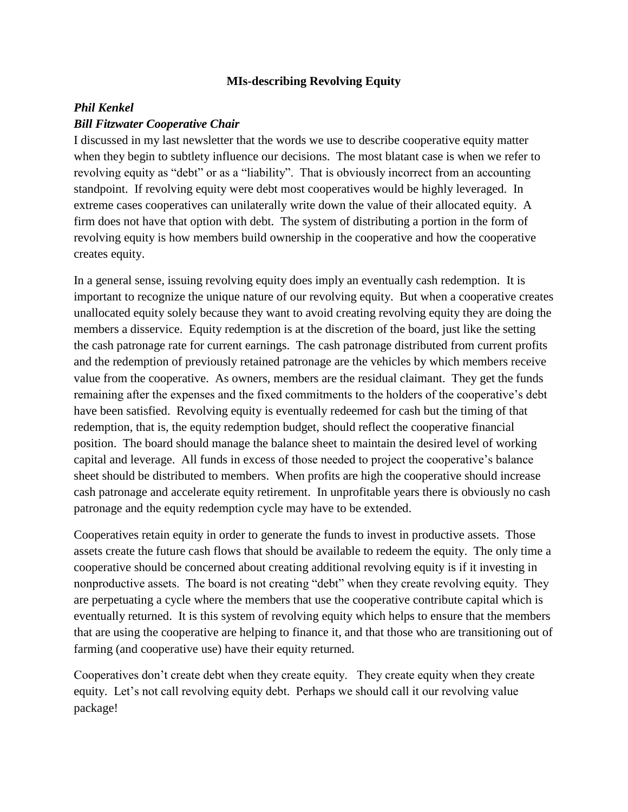## **MIs-describing Revolving Equity**

## *Phil Kenkel Bill Fitzwater Cooperative Chair*

I discussed in my last newsletter that the words we use to describe cooperative equity matter when they begin to subtlety influence our decisions. The most blatant case is when we refer to revolving equity as "debt" or as a "liability". That is obviously incorrect from an accounting standpoint. If revolving equity were debt most cooperatives would be highly leveraged. In extreme cases cooperatives can unilaterally write down the value of their allocated equity. A firm does not have that option with debt. The system of distributing a portion in the form of revolving equity is how members build ownership in the cooperative and how the cooperative creates equity.

In a general sense, issuing revolving equity does imply an eventually cash redemption. It is important to recognize the unique nature of our revolving equity. But when a cooperative creates unallocated equity solely because they want to avoid creating revolving equity they are doing the members a disservice. Equity redemption is at the discretion of the board, just like the setting the cash patronage rate for current earnings. The cash patronage distributed from current profits and the redemption of previously retained patronage are the vehicles by which members receive value from the cooperative. As owners, members are the residual claimant. They get the funds remaining after the expenses and the fixed commitments to the holders of the cooperative's debt have been satisfied. Revolving equity is eventually redeemed for cash but the timing of that redemption, that is, the equity redemption budget, should reflect the cooperative financial position. The board should manage the balance sheet to maintain the desired level of working capital and leverage. All funds in excess of those needed to project the cooperative's balance sheet should be distributed to members. When profits are high the cooperative should increase cash patronage and accelerate equity retirement. In unprofitable years there is obviously no cash patronage and the equity redemption cycle may have to be extended.

Cooperatives retain equity in order to generate the funds to invest in productive assets. Those assets create the future cash flows that should be available to redeem the equity. The only time a cooperative should be concerned about creating additional revolving equity is if it investing in nonproductive assets. The board is not creating "debt" when they create revolving equity. They are perpetuating a cycle where the members that use the cooperative contribute capital which is eventually returned. It is this system of revolving equity which helps to ensure that the members that are using the cooperative are helping to finance it, and that those who are transitioning out of farming (and cooperative use) have their equity returned.

Cooperatives don't create debt when they create equity. They create equity when they create equity. Let's not call revolving equity debt. Perhaps we should call it our revolving value package!